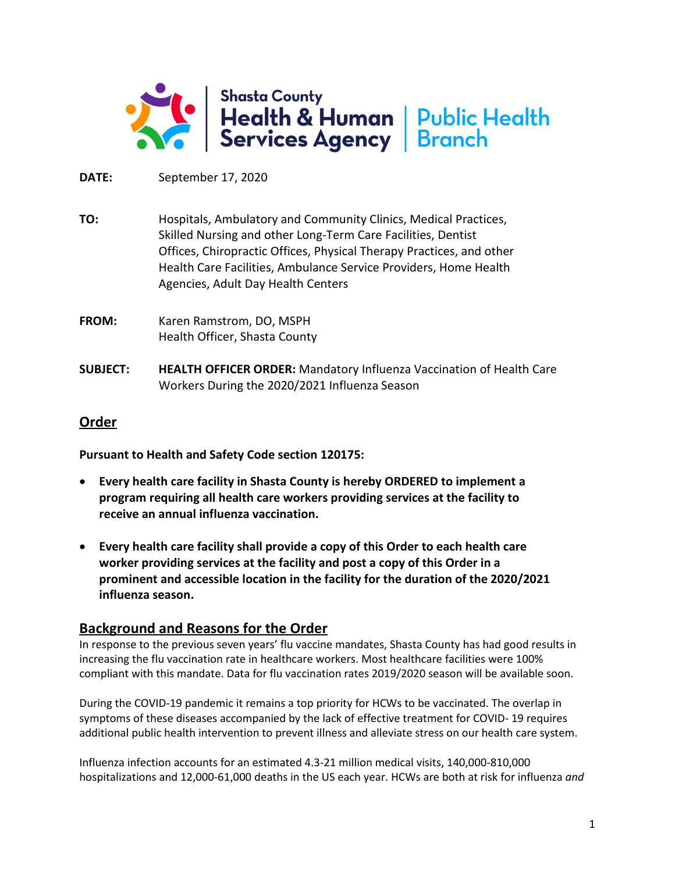

**DATE:** September 17, 2020

**TO:** Hospitals, Ambulatory and Community Clinics, Medical Practices, Skilled Nursing and other Long-Term Care Facilities, Dentist Offices, Chiropractic Offices, Physical Therapy Practices, and other Health Care Facilities, Ambulance Service Providers, Home Health Agencies, Adult Day Health Centers

- **FROM:** Karen Ramstrom, DO, MSPH Health Officer, Shasta County
- **SUBJECT: HEALTH OFFICER ORDER:** Mandatory Influenza Vaccination of Health Care Workers During the 2020/2021 Influenza Season

# **Order**

**Pursuant to Health and Safety Code section 120175:**

- **Every health care facility in Shasta County is hereby ORDERED to implement a program requiring all health care workers providing services at the facility to receive an annual influenza vaccination.**
- **Every health care facility shall provide a copy of this Order to each health care worker providing services at the facility and post a copy of this Order in a prominent and accessible location in the facility for the duration of the 2020/2021 influenza season.**

# **Background and Reasons for the Order**

In response to the previous seven years' flu vaccine mandates, Shasta County has had good results in increasing the flu vaccination rate in healthcare workers. Most healthcare facilities were 100% compliant with this mandate. Data for flu vaccination rates 2019/2020 season will be available soon.

During the COVID-19 pandemic it remains a top priority for HCWs to be vaccinated. The overlap in symptoms of these diseases accompanied by the lack of effective treatment for COVID- 19 requires additional public health intervention to prevent illness and alleviate stress on our health care system.

Influenza infection accounts for an estimated 4.3-21 million medical visits, 140,000-810,000 hospitalizations and 12,000-61,000 deaths in the US each year. HCWs are both at risk for influenza *and*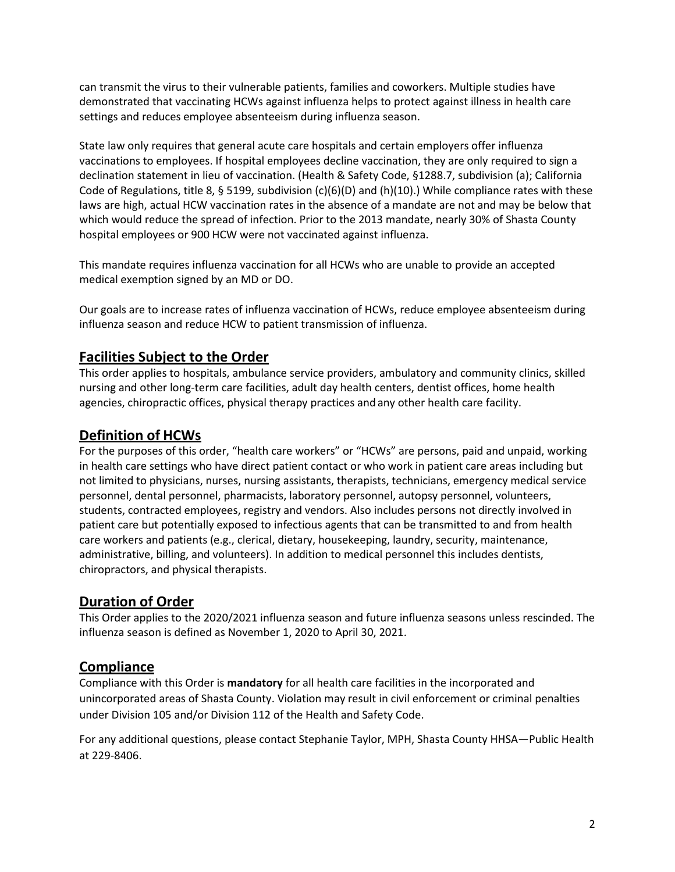can transmit the virus to their vulnerable patients, families and coworkers. Multiple studies have demonstrated that vaccinating HCWs against influenza helps to protect against illness in health care settings and reduces employee absenteeism during influenza season.

State law only requires that general acute care hospitals and certain employers offer influenza vaccinations to employees. If hospital employees decline vaccination, they are only required to sign a declination statement in lieu of vaccination. (Health & Safety Code, §1288.7, subdivision (a); California Code of Regulations, title 8, § 5199, subdivision  $(c)(6)(D)$  and  $(h)(10)$ .) While compliance rates with these laws are high, actual HCW vaccination rates in the absence of a mandate are not and may be below that which would reduce the spread of infection. Prior to the 2013 mandate, nearly 30% of Shasta County hospital employees or 900 HCW were not vaccinated against influenza.

This mandate requires influenza vaccination for all HCWs who are unable to provide an accepted medical exemption signed by an MD or DO.

Our goals are to increase rates of influenza vaccination of HCWs, reduce employee absenteeism during influenza season and reduce HCW to patient transmission of influenza.

# **Facilities Subject to the Order**

This order applies to hospitals, ambulance service providers, ambulatory and community clinics, skilled nursing and other long-term care facilities, adult day health centers, dentist offices, home health agencies, chiropractic offices, physical therapy practices andany other health care facility.

## **Definition of HCWs**

For the purposes of this order, "health care workers" or "HCWs" are persons, paid and unpaid, working in health care settings who have direct patient contact or who work in patient care areas including but not limited to physicians, nurses, nursing assistants, therapists, technicians, emergency medical service personnel, dental personnel, pharmacists, laboratory personnel, autopsy personnel, volunteers, students, contracted employees, registry and vendors. Also includes persons not directly involved in patient care but potentially exposed to infectious agents that can be transmitted to and from health care workers and patients (e.g., clerical, dietary, housekeeping, laundry, security, maintenance, administrative, billing, and volunteers). In addition to medical personnel this includes dentists, chiropractors, and physical therapists.

## **Duration of Order**

This Order applies to the 2020/2021 influenza season and future influenza seasons unless rescinded. The influenza season is defined as November 1, 2020 to April 30, 2021.

## **Compliance**

Compliance with this Order is **mandatory** for all health care facilities in the incorporated and unincorporated areas of Shasta County. Violation may result in civil enforcement or criminal penalties under Division 105 and/or Division 112 of the Health and Safety Code.

For any additional questions, please contact Stephanie Taylor, MPH, Shasta County HHSA—Public Health at 229-8406.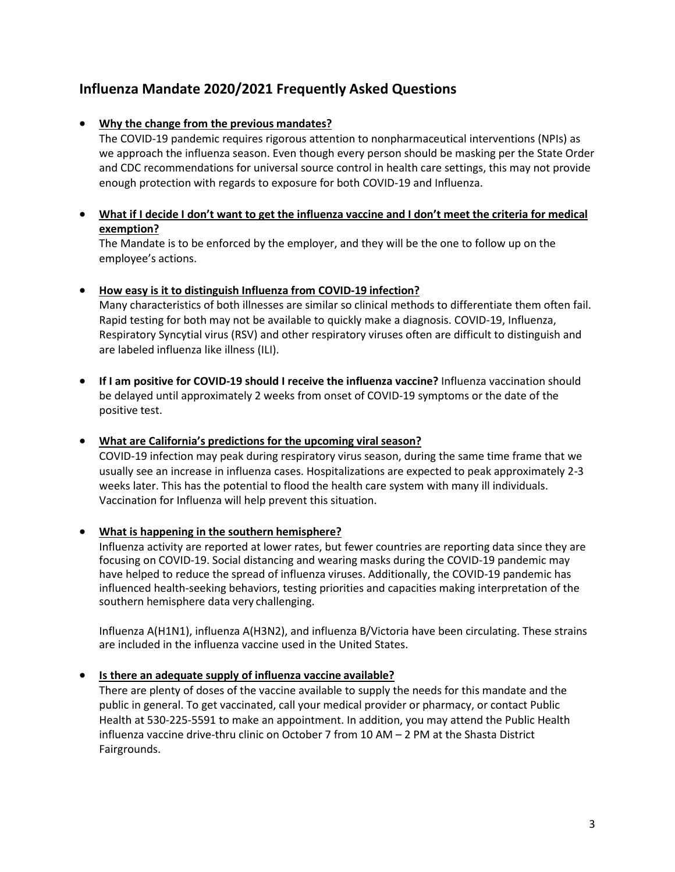# **Influenza Mandate 2020/2021 Frequently Asked Questions**

## • **Why the change from the previous mandates?**

The COVID-19 pandemic requires rigorous attention to nonpharmaceutical interventions (NPIs) as we approach the influenza season. Even though every person should be masking per the State Order and CDC recommendations for universal source control in health care settings, this may not provide enough protection with regards to exposure for both COVID-19 and Influenza.

## • **What if I decide I don't want to get the influenza vaccine and I don't meet the criteria for medical exemption?**

The Mandate is to be enforced by the employer, and they will be the one to follow up on the employee's actions.

## • **How easy is it to distinguish Influenza from COVID-19 infection?**

Many characteristics of both illnesses are similar so clinical methods to differentiate them often fail. Rapid testing for both may not be available to quickly make a diagnosis. COVID-19, Influenza, Respiratory Syncytial virus (RSV) and other respiratory viruses often are difficult to distinguish and are labeled influenza like illness (ILI).

• **If I am positive for COVID-19 should I receive the influenza vaccine?** Influenza vaccination should be delayed until approximately 2 weeks from onset of COVID-19 symptoms or the date of the positive test.

#### • **What are California's predictions for the upcoming viralseason?**

COVID-19 infection may peak during respiratory virus season, during the same time frame that we usually see an increase in influenza cases. Hospitalizations are expected to peak approximately 2-3 weeks later. This has the potential to flood the health care system with many ill individuals. Vaccination for Influenza will help prevent this situation.

## • **What is happening in the southern hemisphere?**

Influenza activity are reported at lower rates, but fewer countries are reporting data since they are focusing on COVID-19. Social distancing and wearing masks during the COVID-19 pandemic may have helped to reduce the spread of influenza viruses. Additionally, the COVID-19 pandemic has influenced health-seeking behaviors, testing priorities and capacities making interpretation of the southern hemisphere data very challenging.

Influenza A(H1N1), influenza A(H3N2), and influenza B/Victoria have been circulating. These strains are included in the influenza vaccine used in the United States.

## • **Is there an adequate supply of influenza vaccine available?**

There are plenty of doses of the vaccine available to supply the needs for this mandate and the public in general. To get vaccinated, call your medical provider or pharmacy, or contact Public Health at 530-225-5591 to make an appointment. In addition, you may attend the Public Health influenza vaccine drive-thru clinic on October 7 from 10 AM – 2 PM at the Shasta District Fairgrounds.